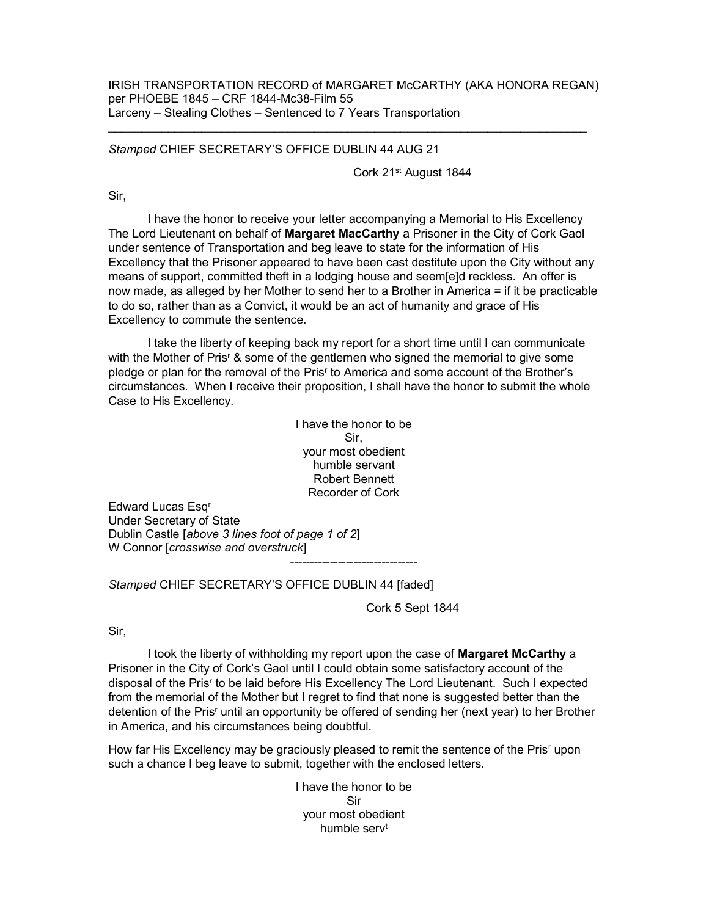## IRISH TRANSPORTATION RECORD of MARGARET McCARTHY (AKA HONORA REGAN) per PHOEBE 1845 – CRF 1844-Mc38-Film 55 Larceny – Stealing Clothes – Sentenced to 7 Years Transportation

## Stamped CHIEF SECRETARY'S OFFICE DUBLIN 44 AUG 21

Cork 21st August 1844

Sir,

 I have the honor to receive your letter accompanying a Memorial to His Excellency The Lord Lieutenant on behalf of Margaret MacCarthy a Prisoner in the City of Cork Gaol under sentence of Transportation and beg leave to state for the information of His Excellency that the Prisoner appeared to have been cast destitute upon the City without any means of support, committed theft in a lodging house and seem[e]d reckless. An offer is now made, as alleged by her Mother to send her to a Brother in America = if it be practicable to do so, rather than as a Convict, it would be an act of humanity and grace of His Excellency to commute the sentence.

 I take the liberty of keeping back my report for a short time until I can communicate with the Mother of Pris<sup>r</sup> & some of the gentlemen who signed the memorial to give some pledge or plan for the removal of the Pris<sup>r</sup> to America and some account of the Brother's circumstances. When I receive their proposition, I shall have the honor to submit the whole Case to His Excellency.

> I have the honor to be Sir, your most obedient humble servant Robert Bennett Recorder of Cork

--------------------------------

Edward Lucas Esq<sup>r</sup> Under Secretary of State Dublin Castle [above 3 lines foot of page 1 of 2] W Connor [crosswise and overstruck]

Stamped CHIEF SECRETARY'S OFFICE DUBLIN 44 [faded]

Cork 5 Sept 1844

Sir,

I took the liberty of withholding my report upon the case of Margaret McCarthy a Prisoner in the City of Cork's Gaol until I could obtain some satisfactory account of the disposal of the Pris<sup>r</sup> to be laid before His Excellency The Lord Lieutenant. Such I expected from the memorial of the Mother but I regret to find that none is suggested better than the detention of the Pris<sup>r</sup> until an opportunity be offered of sending her (next year) to her Brother in America, and his circumstances being doubtful.

How far His Excellency may be graciously pleased to remit the sentence of the Pris<sup>r</sup> upon such a chance I beg leave to submit, together with the enclosed letters.

> I have the honor to be Sir your most obedient humble serv<sup>t</sup>